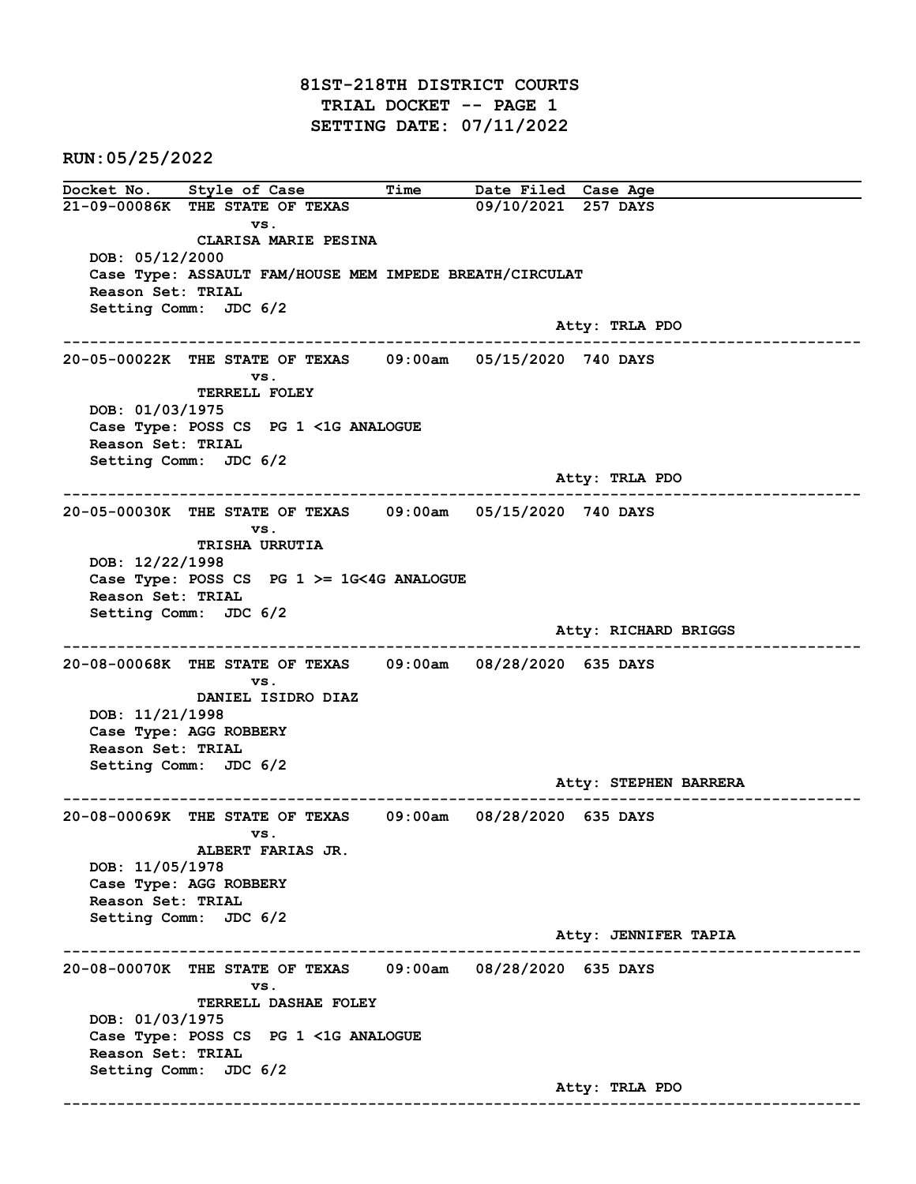81ST-218TH DISTRICT COURTS TRIAL DOCKET -- PAGE 1 SETTING DATE: 07/11/2022

RUN:05/25/2022

Docket No. Style of Case Time Date Filed Case Age 21-09-00086K THE STATE OF TEXAS 09/10/2021 257 DAYS vs. CLARISA MARIE PESINA DOB: 05/12/2000 Case Type: ASSAULT FAM/HOUSE MEM IMPEDE BREATH/CIRCULAT Reason Set: TRIAL Setting Comm: JDC 6/2 Atty: TRLA PDO ------------------------------------------------------------------------------------------------------------------------ 20-05-00022K THE STATE OF TEXAS 09:00am 05/15/2020 740 DAYS vs. TERRELL FOLEY DOB: 01/03/1975 Case Type: POSS CS PG 1 <1G ANALOGUE Reason Set: TRIAL Setting Comm: JDC 6/2 Atty: TRLA PDO ------------------------------------------------------------------------------------------------------------------------ 20-05-00030K THE STATE OF TEXAS 09:00am 05/15/2020 740 DAYS vs. TRISHA URRUTIA DOB: 12/22/1998 Case Type: POSS CS PG 1 >= 1G<4G ANALOGUE Reason Set: TRIAL Setting Comm: JDC 6/2 Atty: RICHARD BRIGGS ------------------------------------------------------------------------------------------------------------------------ 20-08-00068K THE STATE OF TEXAS 09:00am 08/28/2020 635 DAYS vs. DANIEL ISIDRO DIAZ DOB: 11/21/1998 Case Type: AGG ROBBERY Reason Set: TRIAL Setting Comm: JDC 6/2 Atty: STEPHEN BARRERA ------------------------------------------------------------------------------------------------------------------------ 20-08-00069K THE STATE OF TEXAS 09:00am 08/28/2020 635 DAYS vs. ALBERT FARIAS JR. DOB: 11/05/1978 Case Type: AGG ROBBERY Reason Set: TRIAL Setting Comm: JDC 6/2 Atty: JENNIFER TAPIA ------------------------------------------------------------------------------------------------------------------------ 20-08-00070K THE STATE OF TEXAS 09:00am 08/28/2020 635 DAYS vs. TERRELL DASHAE FOLEY DOB: 01/03/1975 Case Type: POSS CS PG 1 <1G ANALOGUE Reason Set: TRIAL Setting Comm: JDC 6/2 Atty: TRLA PDO ------------------------------------------------------------------------------------------------------------------------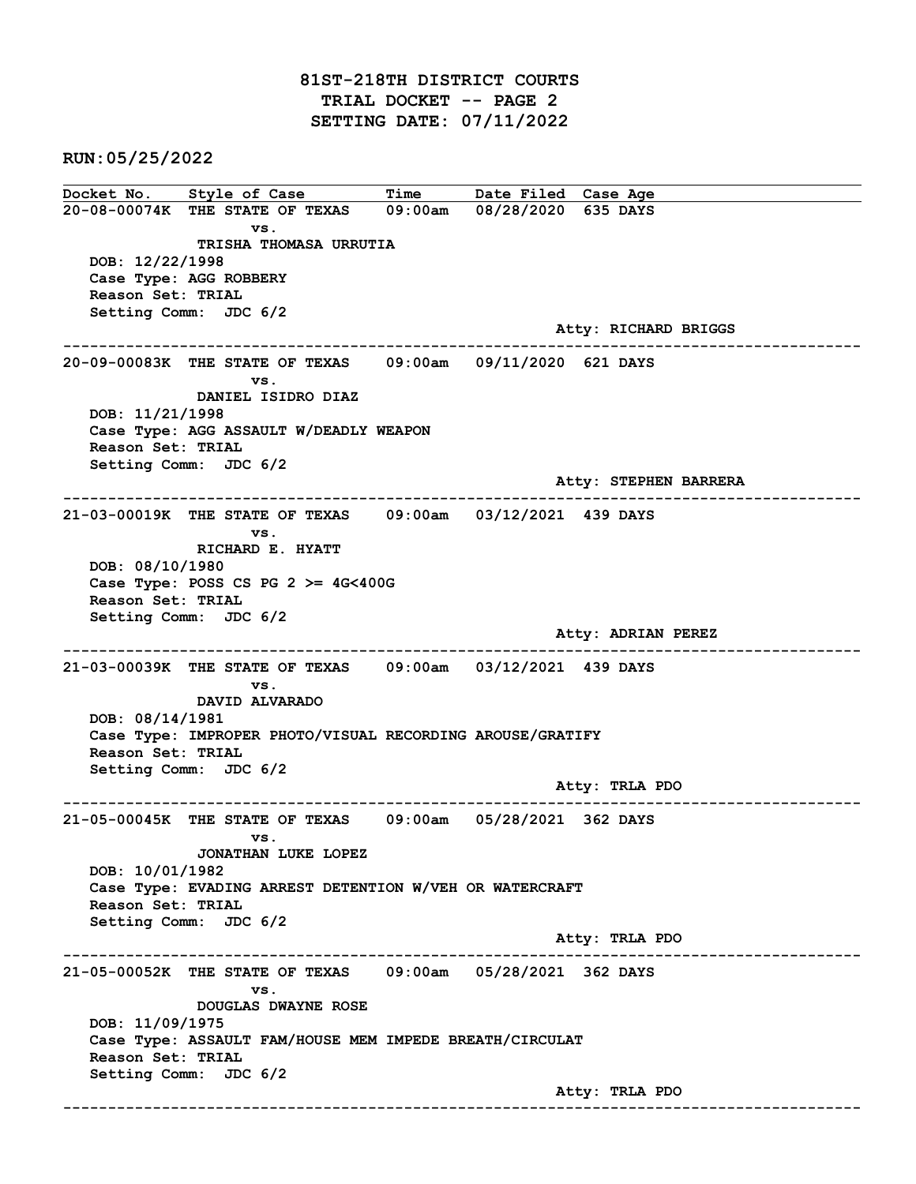## 81ST-218TH DISTRICT COURTS TRIAL DOCKET -- PAGE 2 SETTING DATE: 07/11/2022

RUN:05/25/2022

Docket No. Style of Case Time Date Filed Case Age 20-08-00074K THE STATE OF TEXAS 09:00am 08/28/2020 635 DAYS vs. TRISHA THOMASA URRUTIA DOB: 12/22/1998 Case Type: AGG ROBBERY Reason Set: TRIAL Setting Comm: JDC 6/2 Atty: RICHARD BRIGGS ------------------------------------------------------------------------------------------------------------------------ 20-09-00083K THE STATE OF TEXAS 09:00am 09/11/2020 621 DAYS vs. DANIEL ISIDRO DIAZ DOB: 11/21/1998 Case Type: AGG ASSAULT W/DEADLY WEAPON Reason Set: TRIAL Setting Comm: JDC 6/2 Atty: STEPHEN BARRERA ------------------------------------------------------------------------------------------------------------------------ 21-03-00019K THE STATE OF TEXAS 09:00am 03/12/2021 439 DAYS vs. RICHARD E. HYATT DOB: 08/10/1980 Case Type: POSS CS PG  $2 \ge 4$ G<400G Reason Set: TRIAL Setting Comm: JDC 6/2 Atty: ADRIAN PEREZ ------------------------------------------------------------------------------------------------------------------------ 21-03-00039K THE STATE OF TEXAS 09:00am 03/12/2021 439 DAYS vs. DAVID ALVARADO DOB: 08/14/1981 Case Type: IMPROPER PHOTO/VISUAL RECORDING AROUSE/GRATIFY Reason Set: TRIAL Setting Comm: JDC 6/2 Atty: TRLA PDO ------------------------------------------------------------------------------------------------------------------------ 21-05-00045K THE STATE OF TEXAS 09:00am 05/28/2021 362 DAYS vs. JONATHAN LUKE LOPEZ DOB: 10/01/1982 Case Type: EVADING ARREST DETENTION W/VEH OR WATERCRAFT Reason Set: TRIAL Setting Comm: JDC 6/2 Atty: TRLA PDO ------------------------------------------------------------------------------------------------------------------------ 21-05-00052K THE STATE OF TEXAS 09:00am 05/28/2021 362 DAYS vs. DOUGLAS DWAYNE ROSE DOB: 11/09/1975 Case Type: ASSAULT FAM/HOUSE MEM IMPEDE BREATH/CIRCULAT Reason Set: TRIAL Setting Comm: JDC 6/2 Atty: TRLA PDO ------------------------------------------------------------------------------------------------------------------------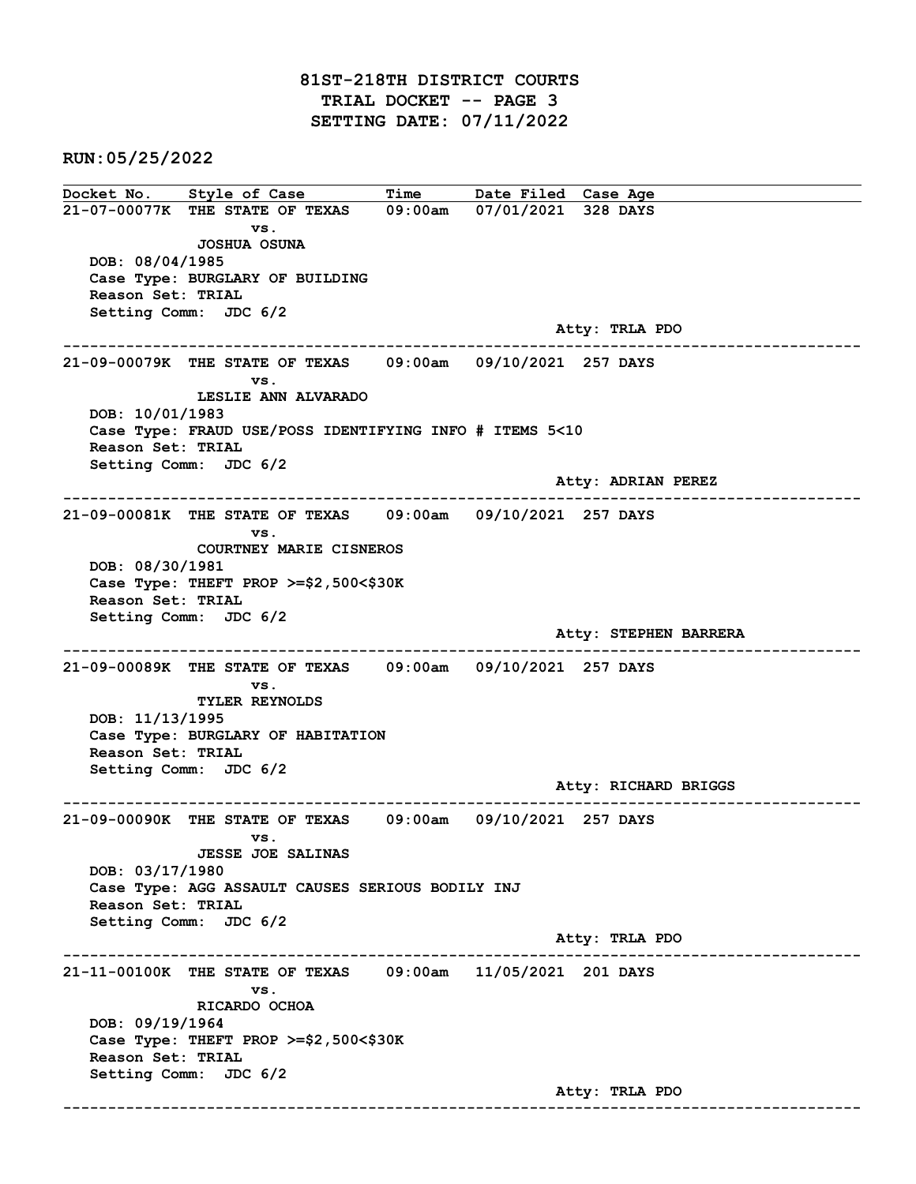## 81ST-218TH DISTRICT COURTS TRIAL DOCKET -- PAGE 3 SETTING DATE: 07/11/2022

RUN:05/25/2022

Docket No. Style of Case Time Date Filed Case Age 21-07-00077K THE STATE OF TEXAS 09:00am 07/01/2021 328 DAYS vs. JOSHUA OSUNA DOB: 08/04/1985 Case Type: BURGLARY OF BUILDING Reason Set: TRIAL Setting Comm: JDC 6/2 Atty: TRLA PDO ------------------------------------------------------------------------------------------------------------------------ 21-09-00079K THE STATE OF TEXAS 09:00am 09/10/2021 257 DAYS vs. LESLIE ANN ALVARADO DOB: 10/01/1983 Case Type: FRAUD USE/POSS IDENTIFYING INFO # ITEMS 5<10 Reason Set: TRIAL Setting Comm: JDC 6/2 Atty: ADRIAN PEREZ ------------------------------------------------------------------------------------------------------------------------ 21-09-00081K THE STATE OF TEXAS 09:00am 09/10/2021 257 DAYS vs. COURTNEY MARIE CISNEROS DOB: 08/30/1981 Case Type: THEFT PROP >=\$2,500<\$30K Reason Set: TRIAL Setting Comm: JDC 6/2 Atty: STEPHEN BARRERA ------------------------------------------------------------------------------------------------------------------------ 21-09-00089K THE STATE OF TEXAS 09:00am 09/10/2021 257 DAYS vs. TYLER REYNOLDS DOB: 11/13/1995 Case Type: BURGLARY OF HABITATION Reason Set: TRIAL Setting Comm: JDC 6/2 Atty: RICHARD BRIGGS ------------------------------------------------------------------------------------------------------------------------ 21-09-00090K THE STATE OF TEXAS 09:00am 09/10/2021 257 DAYS vs. JESSE JOE SALINAS DOB: 03/17/1980 Case Type: AGG ASSAULT CAUSES SERIOUS BODILY INJ Reason Set: TRIAL Setting Comm: JDC 6/2 Atty: TRLA PDO ------------------------------------------------------------------------------------------------------------------------ 21-11-00100K THE STATE OF TEXAS 09:00am 11/05/2021 201 DAYS vs. RICARDO OCHOA DOB: 09/19/1964 Case Type: THEFT PROP >=\$2,500<\$30K Reason Set: TRIAL Setting Comm: JDC 6/2 Atty: TRLA PDO ------------------------------------------------------------------------------------------------------------------------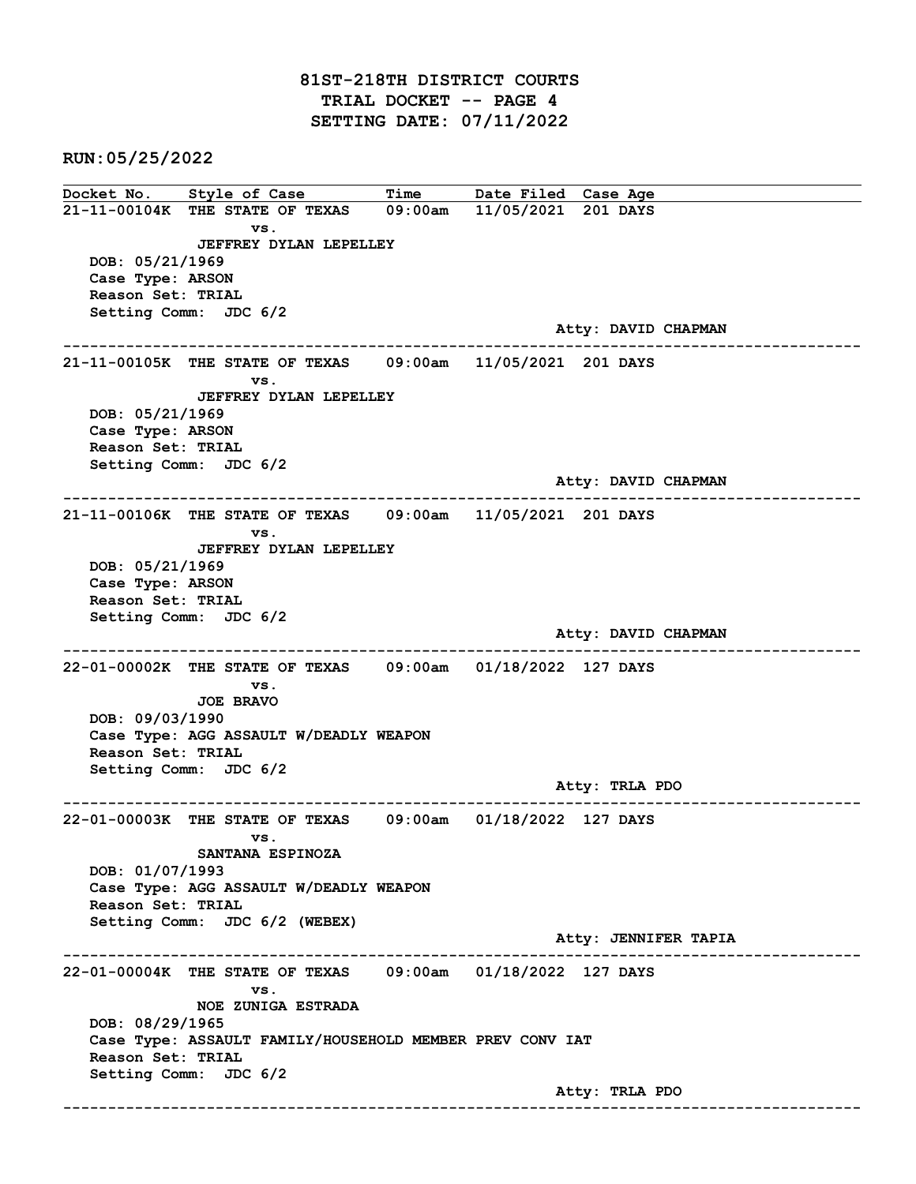## 81ST-218TH DISTRICT COURTS TRIAL DOCKET -- PAGE 4 SETTING DATE: 07/11/2022

RUN:05/25/2022

Docket No. Style of Case Time Date Filed Case Age 21-11-00104K THE STATE OF TEXAS 09:00am 11/05/2021 201 DAYS vs. JEFFREY DYLAN LEPELLEY DOB: 05/21/1969 Case Type: ARSON Reason Set: TRIAL Setting Comm: JDC 6/2 Atty: DAVID CHAPMAN ------------------------------------------------------------------------------------------------------------------------ 21-11-00105K THE STATE OF TEXAS 09:00am 11/05/2021 201 DAYS vs. JEFFREY DYLAN LEPELLEY DOB: 05/21/1969 Case Type: ARSON Reason Set: TRIAL Setting Comm: JDC 6/2 Atty: DAVID CHAPMAN ------------------------------------------------------------------------------------------------------------------------ 21-11-00106K THE STATE OF TEXAS 09:00am 11/05/2021 201 DAYS vs. JEFFREY DYLAN LEPELLEY DOB: 05/21/1969 Case Type: ARSON Reason Set: TRIAL Setting Comm: JDC 6/2 Atty: DAVID CHAPMAN ------------------------------------------------------------------------------------------------------------------------ 22-01-00002K THE STATE OF TEXAS 09:00am 01/18/2022 127 DAYS vs. JOE BRAVO DOB: 09/03/1990 Case Type: AGG ASSAULT W/DEADLY WEAPON Reason Set: TRIAL Setting Comm: JDC 6/2 Atty: TRLA PDO ------------------------------------------------------------------------------------------------------------------------ 22-01-00003K THE STATE OF TEXAS 09:00am 01/18/2022 127 DAYS vs. SANTANA ESPINOZA DOB: 01/07/1993 Case Type: AGG ASSAULT W/DEADLY WEAPON Reason Set: TRIAL Setting Comm: JDC 6/2 (WEBEX) Atty: JENNIFER TAPIA ------------------------------------------------------------------------------------------------------------------------ 22-01-00004K THE STATE OF TEXAS 09:00am 01/18/2022 127 DAYS vs. NOE ZUNIGA ESTRADA DOB: 08/29/1965 Case Type: ASSAULT FAMILY/HOUSEHOLD MEMBER PREV CONV IAT Reason Set: TRIAL Setting Comm: JDC 6/2 Atty: TRLA PDO ------------------------------------------------------------------------------------------------------------------------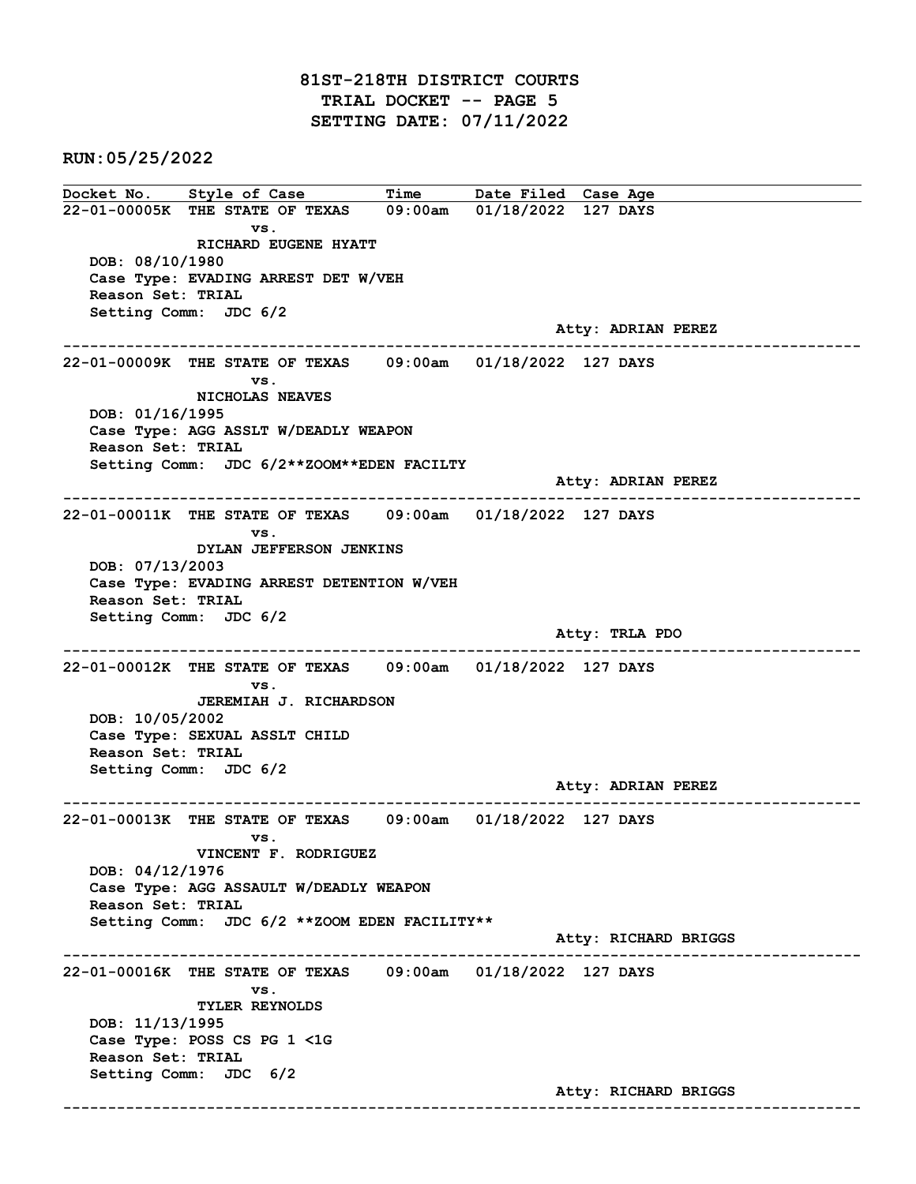## 81ST-218TH DISTRICT COURTS TRIAL DOCKET -- PAGE 5 SETTING DATE: 07/11/2022

RUN:05/25/2022

Docket No. Style of Case Time Date Filed Case Age 22-01-00005K THE STATE OF TEXAS 09:00am 01/18/2022 127 DAYS vs. RICHARD EUGENE HYATT DOB: 08/10/1980 Case Type: EVADING ARREST DET W/VEH Reason Set: TRIAL Setting Comm: JDC 6/2 Atty: ADRIAN PEREZ ------------------------------------------------------------------------------------------------------------------------ 22-01-00009K THE STATE OF TEXAS 09:00am 01/18/2022 127 DAYS vs. NICHOLAS NEAVES DOB: 01/16/1995 Case Type: AGG ASSLT W/DEADLY WEAPON Reason Set: TRIAL Setting Comm: JDC 6/2\*\*ZOOM\*\*EDEN FACILTY Atty: ADRIAN PEREZ ------------------------------------------------------------------------------------------------------------------------ 22-01-00011K THE STATE OF TEXAS 09:00am 01/18/2022 127 DAYS vs. DYLAN JEFFERSON JENKINS DOB: 07/13/2003 Case Type: EVADING ARREST DETENTION W/VEH Reason Set: TRIAL Setting Comm: JDC 6/2 Atty: TRLA PDO ------------------------------------------------------------------------------------------------------------------------ 22-01-00012K THE STATE OF TEXAS 09:00am 01/18/2022 127 DAYS vs. JEREMIAH J. RICHARDSON DOB: 10/05/2002 Case Type: SEXUAL ASSLT CHILD Reason Set: TRIAL Setting Comm: JDC 6/2 Atty: ADRIAN PEREZ ------------------------------------------------------------------------------------------------------------------------ 22-01-00013K THE STATE OF TEXAS 09:00am 01/18/2022 127 DAYS vs. VINCENT F. RODRIGUEZ DOB: 04/12/1976 Case Type: AGG ASSAULT W/DEADLY WEAPON Reason Set: TRIAL Setting Comm: JDC 6/2 \*\*ZOOM EDEN FACILITY\*\* Atty: RICHARD BRIGGS ------------------------------------------------------------------------------------------------------------------------ 22-01-00016K THE STATE OF TEXAS 09:00am 01/18/2022 127 DAYS vs. TYLER REYNOLDS DOB: 11/13/1995 Case Type: POSS CS PG 1 <1G Reason Set: TRIAL Setting Comm: JDC 6/2 Atty: RICHARD BRIGGS ------------------------------------------------------------------------------------------------------------------------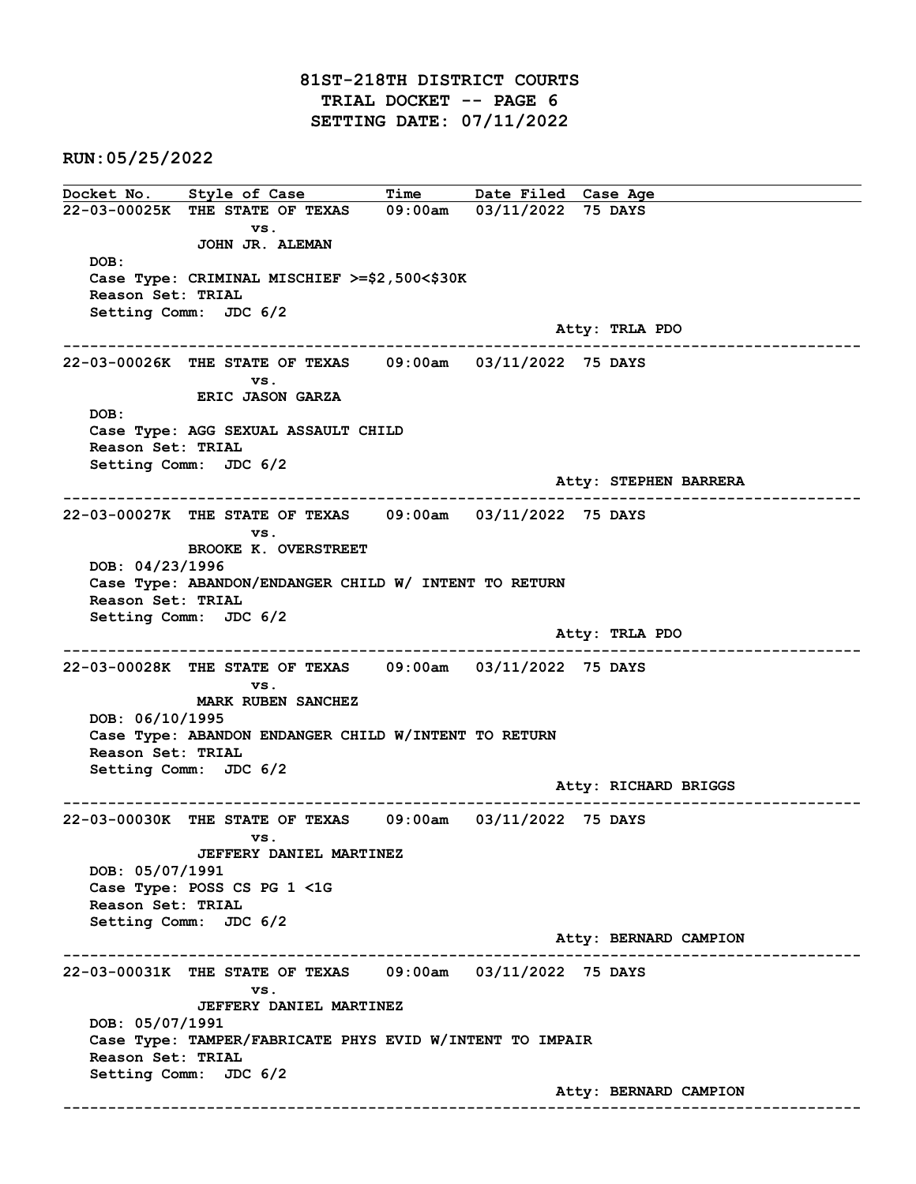#### 81ST-218TH DISTRICT COURTS TRIAL DOCKET -- PAGE 6 SETTING DATE: 07/11/2022

RUN:05/25/2022

Docket No. Style of Case Time Date Filed Case Age 22-03-00025K THE STATE OF TEXAS 09:00am 03/11/2022 75 DAYS vs. JOHN JR. ALEMAN DOB: Case Type: CRIMINAL MISCHIEF >=\$2,500<\$30K Reason Set: TRIAL Setting Comm: JDC 6/2 Atty: TRLA PDO ------------------------------------------------------------------------------------------------------------------------ 22-03-00026K THE STATE OF TEXAS 09:00am 03/11/2022 75 DAYS vs. ERIC JASON GARZA DOB: Case Type: AGG SEXUAL ASSAULT CHILD Reason Set: TRIAL Setting Comm: JDC 6/2 Atty: STEPHEN BARRERA ------------------------------------------------------------------------------------------------------------------------ 22-03-00027K THE STATE OF TEXAS 09:00am 03/11/2022 75 DAYS vs. BROOKE K. OVERSTREET DOB: 04/23/1996 Case Type: ABANDON/ENDANGER CHILD W/ INTENT TO RETURN Reason Set: TRIAL Setting Comm: JDC 6/2 Atty: TRLA PDO ------------------------------------------------------------------------------------------------------------------------ 22-03-00028K THE STATE OF TEXAS 09:00am 03/11/2022 75 DAYS vs. MARK RUBEN SANCHEZ DOB: 06/10/1995 Case Type: ABANDON ENDANGER CHILD W/INTENT TO RETURN Reason Set: TRIAL Setting Comm: JDC 6/2 Atty: RICHARD BRIGGS ------------------------------------------------------------------------------------------------------------------------ 22-03-00030K THE STATE OF TEXAS 09:00am 03/11/2022 75 DAYS vs. JEFFERY DANIEL MARTINEZ DOB: 05/07/1991 Case Type: POSS CS PG 1 <1G Reason Set: TRIAL Setting Comm: JDC 6/2 Atty: BERNARD CAMPION ------------------------------------------------------------------------------------------------------------------------ 22-03-00031K THE STATE OF TEXAS 09:00am 03/11/2022 75 DAYS vs. JEFFERY DANIEL MARTINEZ DOB: 05/07/1991 Case Type: TAMPER/FABRICATE PHYS EVID W/INTENT TO IMPAIR Reason Set: TRIAL Setting Comm: JDC 6/2 Atty: BERNARD CAMPION ------------------------------------------------------------------------------------------------------------------------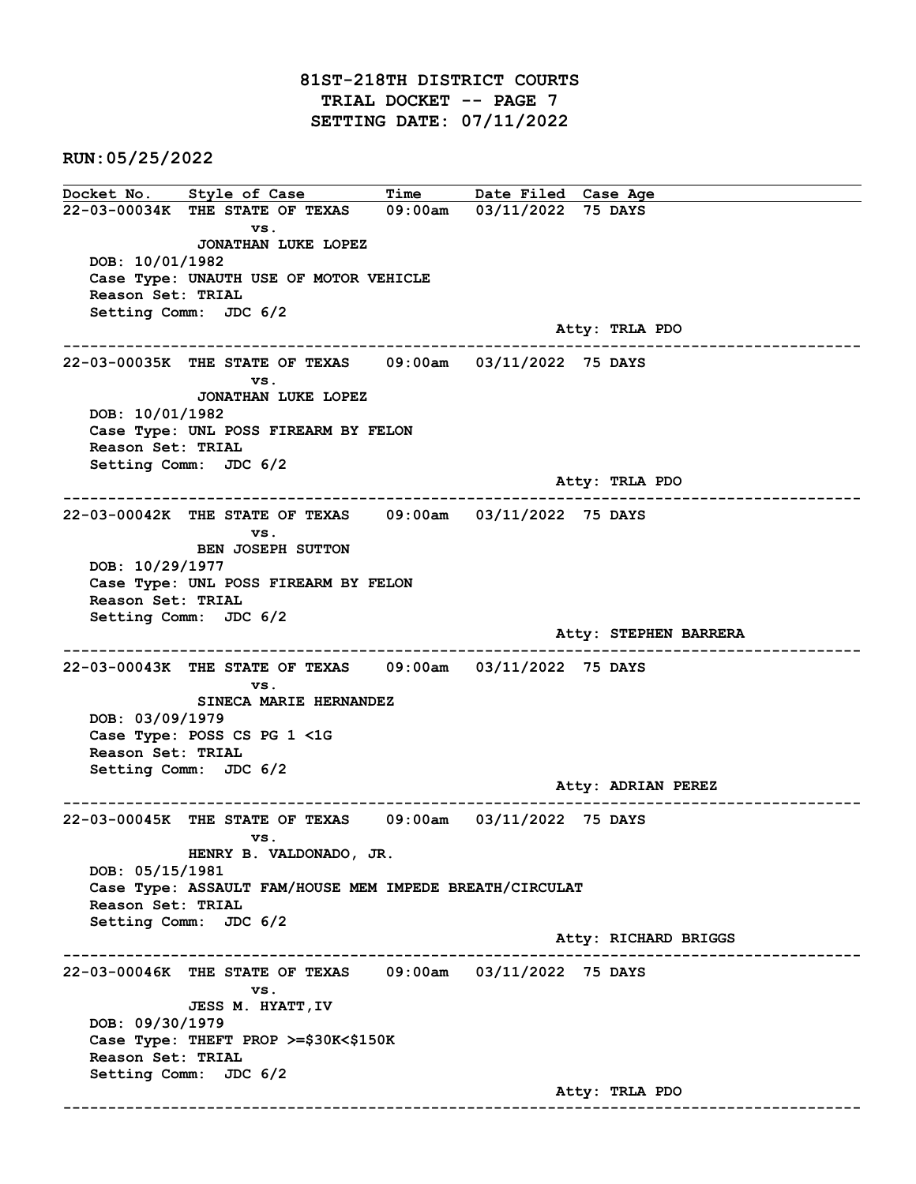## 81ST-218TH DISTRICT COURTS TRIAL DOCKET -- PAGE 7 SETTING DATE: 07/11/2022

RUN:05/25/2022

Docket No. Style of Case Time Date Filed Case Age 22-03-00034K THE STATE OF TEXAS 09:00am 03/11/2022 75 DAYS vs. JONATHAN LUKE LOPEZ DOB: 10/01/1982 Case Type: UNAUTH USE OF MOTOR VEHICLE Reason Set: TRIAL Setting Comm: JDC 6/2 Atty: TRLA PDO ------------------------------------------------------------------------------------------------------------------------ 22-03-00035K THE STATE OF TEXAS 09:00am 03/11/2022 75 DAYS vs. JONATHAN LUKE LOPEZ DOB: 10/01/1982 Case Type: UNL POSS FIREARM BY FELON Reason Set: TRIAL Setting Comm: JDC 6/2 Atty: TRLA PDO ------------------------------------------------------------------------------------------------------------------------ 22-03-00042K THE STATE OF TEXAS 09:00am 03/11/2022 75 DAYS vs. BEN JOSEPH SUTTON DOB: 10/29/1977 Case Type: UNL POSS FIREARM BY FELON Reason Set: TRIAL Setting Comm: JDC 6/2 Atty: STEPHEN BARRERA ------------------------------------------------------------------------------------------------------------------------ 22-03-00043K THE STATE OF TEXAS 09:00am 03/11/2022 75 DAYS vs. SINECA MARIE HERNANDEZ DOB: 03/09/1979 Case Type: POSS CS PG 1 <1G Reason Set: TRIAL Setting Comm: JDC 6/2 Atty: ADRIAN PEREZ ------------------------------------------------------------------------------------------------------------------------ 22-03-00045K THE STATE OF TEXAS 09:00am 03/11/2022 75 DAYS vs. HENRY B. VALDONADO, JR. DOB: 05/15/1981 Case Type: ASSAULT FAM/HOUSE MEM IMPEDE BREATH/CIRCULAT Reason Set: TRIAL Setting Comm: JDC 6/2 Atty: RICHARD BRIGGS ------------------------------------------------------------------------------------------------------------------------ 22-03-00046K THE STATE OF TEXAS 09:00am 03/11/2022 75 DAYS vs. JESS M. HYATT,IV DOB: 09/30/1979 Case Type: THEFT PROP >=\$30K<\$150K Reason Set: TRIAL Setting Comm: JDC 6/2 Atty: TRLA PDO ------------------------------------------------------------------------------------------------------------------------